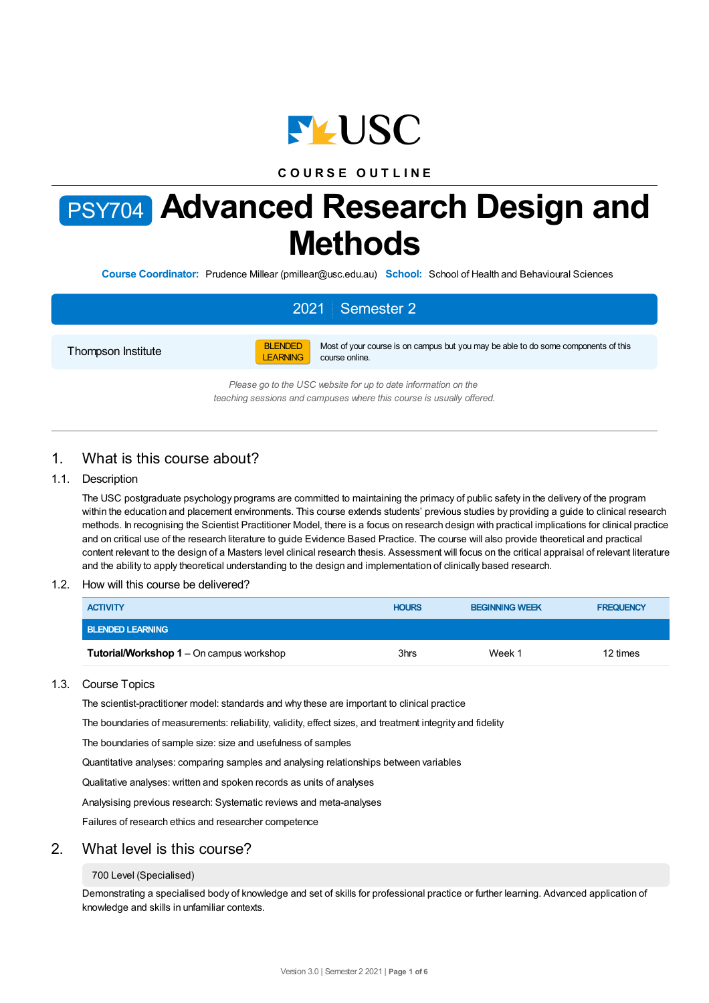

# **C O U R S E O U T L I N E**

# PSY704 **Advanced Research Design and Methods**

**Course Coordinator:** Prudence Millear (pmillear@usc.edu.au) **School:** School of Health and Behavioural Sciences

# 2021 Semester 2

Thompson Institute



Most of your course is on campus but you may be able to do some components of this course online.

*Please go to the USC website for up to date information on the teaching sessions and campuses where this course is usually offered.*

# 1. What is this course about?

### 1.1. Description

The USC postgraduate psychology programs are committed to maintaining the primacy of public safety in the delivery of the program within the education and placement environments. This course extends students' previous studies by providing a guide to clinical research methods. In recognising the Scientist Practitioner Model, there is a focus on research design with practical implications for clinical practice and on critical use of the research literature to guide Evidence Based Practice. The course will also provide theoretical and practical content relevant to the design of a Masters level clinical research thesis. Assessment will focus on the critical appraisal of relevant literature and the ability to apply theoretical understanding to the design and implementation of clinically based research.

### 1.2. How will this course be delivered?

| <b>ACTIVITY</b>                                 | <b>HOURS</b> | <b>BEGINNING WEEK</b> | <b>FREQUENCY</b> |
|-------------------------------------------------|--------------|-----------------------|------------------|
| <b>BLENDED LEARNING</b>                         |              |                       |                  |
| <b>Tutorial/Workshop 1</b> – On campus workshop | 3hrs         | Week 1                | 12 times         |

### 1.3. Course Topics

The scientist-practitioner model: standards and why these are important to clinical practice

The boundaries of measurements: reliability, validity, effect sizes, and treatment integrity and fidelity

The boundaries of sample size: size and usefulness of samples

Quantitative analyses: comparing samples and analysing relationships between variables

Qualitative analyses: written and spoken records as units of analyses

Analysising previous research: Systematic reviews and meta-analyses

Failures of research ethics and researcher competence

### 2. What level is this course?

#### 700 Level (Specialised)

Demonstrating a specialised body of knowledge and set of skills for professional practice or further learning. Advanced application of knowledge and skills in unfamiliar contexts.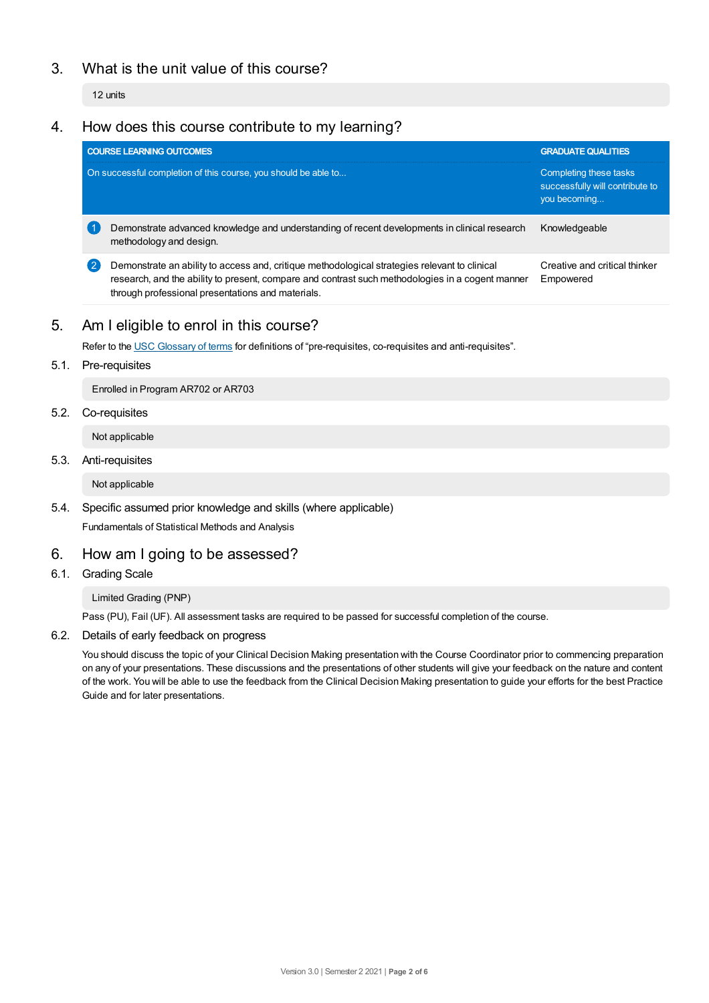# 3. What is the unit value of this course?

12 units

# 4. How does this course contribute to my learning?

|              | <b>COURSE LEARNING OUTCOMES</b>                                                                                                                                                                                                                        | <b>GRADUATE QUALITIES</b>                                                 |  |
|--------------|--------------------------------------------------------------------------------------------------------------------------------------------------------------------------------------------------------------------------------------------------------|---------------------------------------------------------------------------|--|
|              | On successful completion of this course, you should be able to                                                                                                                                                                                         | Completing these tasks<br>successfully will contribute to<br>you becoming |  |
|              | Demonstrate advanced knowledge and understanding of recent developments in clinical research<br>methodology and design.                                                                                                                                | Knowledgeable                                                             |  |
| $\mathbf{2}$ | Demonstrate an ability to access and, critique methodological strategies relevant to clinical<br>research, and the ability to present, compare and contrast such methodologies in a cogent manner<br>through professional presentations and materials. | Creative and critical thinker<br>Empowered                                |  |

# 5. Am Ieligible to enrol in this course?

Refer to the USC [Glossary](https://www.usc.edu.au/about/policies-and-procedures/glossary-of-terms-for-policy-and-procedures) of terms for definitions of "pre-requisites, co-requisites and anti-requisites".

5.1. Pre-requisites

Enrolled in Program AR702 or AR703

5.2. Co-requisites

Not applicable

5.3. Anti-requisites

Not applicable

5.4. Specific assumed prior knowledge and skills (where applicable)

Fundamentals of Statistical Methods and Analysis

# 6. How am Igoing to be assessed?

6.1. Grading Scale

Limited Grading (PNP)

Pass (PU), Fail (UF). All assessment tasks are required to be passed for successful completion of the course.

6.2. Details of early feedback on progress

You should discuss the topic of your Clinical Decision Making presentation with the Course Coordinator prior to commencing preparation on any of your presentations. These discussions and the presentations of other students will give your feedback on the nature and content of the work. You will be able to use the feedback from the Clinical Decision Making presentation to guide your efforts for the best Practice Guide and for later presentations.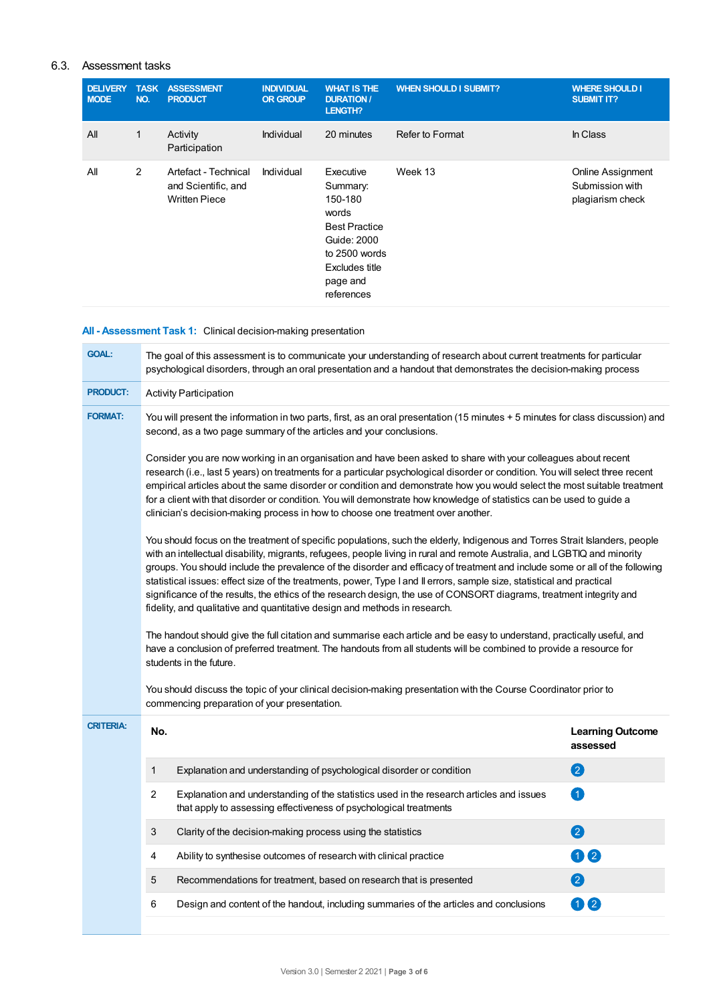# 6.3. Assessment tasks

| <b>DELIVERY</b><br><b>MODE</b> | <b>TASK</b><br>NO. | <b>ASSESSMENT</b><br><b>PRODUCT</b>                                 | <b>INDIVIDUAL</b><br><b>OR GROUP</b> | <b>WHAT IS THE</b><br><b>DURATION /</b><br>LENGTH?                                                                                            | <b>WHEN SHOULD I SUBMIT?</b> | <b>WHERE SHOULD I</b><br><b>SUBMIT IT?</b>               |
|--------------------------------|--------------------|---------------------------------------------------------------------|--------------------------------------|-----------------------------------------------------------------------------------------------------------------------------------------------|------------------------------|----------------------------------------------------------|
| All                            | 1                  | Activity<br>Participation                                           | Individual                           | 20 minutes                                                                                                                                    | Refer to Format              | In Class                                                 |
| All                            | $\overline{2}$     | Artefact - Technical<br>and Scientific, and<br><b>Written Piece</b> | Individual                           | Executive<br>Summary:<br>150-180<br>words<br><b>Best Practice</b><br>Guide: 2000<br>to 2500 words<br>Excludes title<br>page and<br>references | Week 13                      | Online Assignment<br>Submission with<br>plagiarism check |

**All - Assessment Task 1:** Clinical decision-making presentation

| <b>GOAL:</b>                                                                                                                                                                                                                                                                                                                                                                                                                                                                                                                                                                                                                                                                                                                                                                                                                                                                                                                                                                                                                                                                                                                                                                                                                                                                                                          | The goal of this assessment is to communicate your understanding of research about current treatments for particular<br>psychological disorders, through an oral presentation and a handout that demonstrates the decision-making process |                                                                                                                                                               |                                     |  |  |
|-----------------------------------------------------------------------------------------------------------------------------------------------------------------------------------------------------------------------------------------------------------------------------------------------------------------------------------------------------------------------------------------------------------------------------------------------------------------------------------------------------------------------------------------------------------------------------------------------------------------------------------------------------------------------------------------------------------------------------------------------------------------------------------------------------------------------------------------------------------------------------------------------------------------------------------------------------------------------------------------------------------------------------------------------------------------------------------------------------------------------------------------------------------------------------------------------------------------------------------------------------------------------------------------------------------------------|-------------------------------------------------------------------------------------------------------------------------------------------------------------------------------------------------------------------------------------------|---------------------------------------------------------------------------------------------------------------------------------------------------------------|-------------------------------------|--|--|
| <b>PRODUCT:</b>                                                                                                                                                                                                                                                                                                                                                                                                                                                                                                                                                                                                                                                                                                                                                                                                                                                                                                                                                                                                                                                                                                                                                                                                                                                                                                       | <b>Activity Participation</b>                                                                                                                                                                                                             |                                                                                                                                                               |                                     |  |  |
| <b>FORMAT:</b>                                                                                                                                                                                                                                                                                                                                                                                                                                                                                                                                                                                                                                                                                                                                                                                                                                                                                                                                                                                                                                                                                                                                                                                                                                                                                                        | You will present the information in two parts, first, as an oral presentation (15 minutes + 5 minutes for class discussion) and<br>second, as a two page summary of the articles and your conclusions.                                    |                                                                                                                                                               |                                     |  |  |
| Consider you are now working in an organisation and have been asked to share with your colleagues about recent<br>research (i.e., last 5 years) on treatments for a particular psychological disorder or condition. You will select three recent<br>empirical articles about the same disorder or condition and demonstrate how you would select the most suitable treatment<br>for a client with that disorder or condition. You will demonstrate how knowledge of statistics can be used to guide a<br>clinician's decision-making process in how to choose one treatment over another.<br>You should focus on the treatment of specific populations, such the elderly, Indigenous and Torres Strait Islanders, people<br>with an intellectual disability, migrants, refugees, people living in rural and remote Australia, and LGBTIQ and minority<br>groups. You should include the prevalence of the disorder and efficacy of treatment and include some or all of the following<br>statistical issues: effect size of the treatments, power, Type I and II errors, sample size, statistical and practical<br>significance of the results, the ethics of the research design, the use of CONSORT diagrams, treatment integrity and<br>fidelity, and qualitative and quantitative design and methods in research. |                                                                                                                                                                                                                                           |                                                                                                                                                               |                                     |  |  |
|                                                                                                                                                                                                                                                                                                                                                                                                                                                                                                                                                                                                                                                                                                                                                                                                                                                                                                                                                                                                                                                                                                                                                                                                                                                                                                                       |                                                                                                                                                                                                                                           |                                                                                                                                                               |                                     |  |  |
|                                                                                                                                                                                                                                                                                                                                                                                                                                                                                                                                                                                                                                                                                                                                                                                                                                                                                                                                                                                                                                                                                                                                                                                                                                                                                                                       |                                                                                                                                                                                                                                           | commencing preparation of your presentation.                                                                                                                  |                                     |  |  |
| <b>CRITERIA:</b>                                                                                                                                                                                                                                                                                                                                                                                                                                                                                                                                                                                                                                                                                                                                                                                                                                                                                                                                                                                                                                                                                                                                                                                                                                                                                                      | No.                                                                                                                                                                                                                                       |                                                                                                                                                               | <b>Learning Outcome</b><br>assessed |  |  |
|                                                                                                                                                                                                                                                                                                                                                                                                                                                                                                                                                                                                                                                                                                                                                                                                                                                                                                                                                                                                                                                                                                                                                                                                                                                                                                                       | 1                                                                                                                                                                                                                                         | Explanation and understanding of psychological disorder or condition                                                                                          | 2                                   |  |  |
|                                                                                                                                                                                                                                                                                                                                                                                                                                                                                                                                                                                                                                                                                                                                                                                                                                                                                                                                                                                                                                                                                                                                                                                                                                                                                                                       | 2                                                                                                                                                                                                                                         | Explanation and understanding of the statistics used in the research articles and issues<br>that apply to assessing effectiveness of psychological treatments | 0                                   |  |  |
|                                                                                                                                                                                                                                                                                                                                                                                                                                                                                                                                                                                                                                                                                                                                                                                                                                                                                                                                                                                                                                                                                                                                                                                                                                                                                                                       | 3                                                                                                                                                                                                                                         | Clarity of the decision-making process using the statistics                                                                                                   | 2                                   |  |  |
|                                                                                                                                                                                                                                                                                                                                                                                                                                                                                                                                                                                                                                                                                                                                                                                                                                                                                                                                                                                                                                                                                                                                                                                                                                                                                                                       | 4                                                                                                                                                                                                                                         | Ability to synthesise outcomes of research with clinical practice                                                                                             | 02                                  |  |  |
|                                                                                                                                                                                                                                                                                                                                                                                                                                                                                                                                                                                                                                                                                                                                                                                                                                                                                                                                                                                                                                                                                                                                                                                                                                                                                                                       | 5                                                                                                                                                                                                                                         | Recommendations for treatment, based on research that is presented                                                                                            | 2                                   |  |  |
|                                                                                                                                                                                                                                                                                                                                                                                                                                                                                                                                                                                                                                                                                                                                                                                                                                                                                                                                                                                                                                                                                                                                                                                                                                                                                                                       | 6                                                                                                                                                                                                                                         | Design and content of the handout, including summaries of the articles and conclusions                                                                        | 02                                  |  |  |
|                                                                                                                                                                                                                                                                                                                                                                                                                                                                                                                                                                                                                                                                                                                                                                                                                                                                                                                                                                                                                                                                                                                                                                                                                                                                                                                       |                                                                                                                                                                                                                                           |                                                                                                                                                               |                                     |  |  |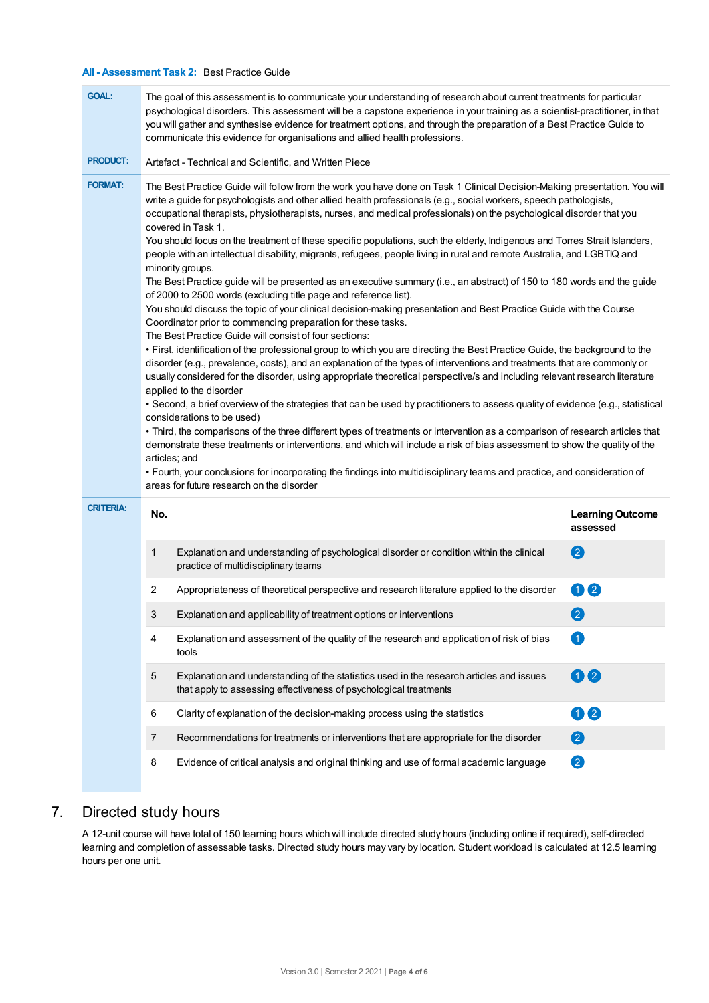### **All - Assessment Task 2:** Best Practice Guide

| <b>GOAL:</b>     | The goal of this assessment is to communicate your understanding of research about current treatments for particular<br>psychological disorders. This assessment will be a capstone experience in your training as a scientist-practitioner, in that<br>you will gather and synthesise evidence for treatment options, and through the preparation of a Best Practice Guide to<br>communicate this evidence for organisations and allied health professions.                                                                                                                                                                                                                                                                                                                                                                                                                                                                                                                                                                                                                                                                                                                                                                                                                                                                                                                                                                                                                                                                                                                                                                                                                                                                                                                                                                                                                                                                                                                                                                                                                                                                                                             |                                                                                                                                                               |                                     |  |  |  |
|------------------|--------------------------------------------------------------------------------------------------------------------------------------------------------------------------------------------------------------------------------------------------------------------------------------------------------------------------------------------------------------------------------------------------------------------------------------------------------------------------------------------------------------------------------------------------------------------------------------------------------------------------------------------------------------------------------------------------------------------------------------------------------------------------------------------------------------------------------------------------------------------------------------------------------------------------------------------------------------------------------------------------------------------------------------------------------------------------------------------------------------------------------------------------------------------------------------------------------------------------------------------------------------------------------------------------------------------------------------------------------------------------------------------------------------------------------------------------------------------------------------------------------------------------------------------------------------------------------------------------------------------------------------------------------------------------------------------------------------------------------------------------------------------------------------------------------------------------------------------------------------------------------------------------------------------------------------------------------------------------------------------------------------------------------------------------------------------------------------------------------------------------------------------------------------------------|---------------------------------------------------------------------------------------------------------------------------------------------------------------|-------------------------------------|--|--|--|
| <b>PRODUCT:</b>  | Artefact - Technical and Scientific, and Written Piece                                                                                                                                                                                                                                                                                                                                                                                                                                                                                                                                                                                                                                                                                                                                                                                                                                                                                                                                                                                                                                                                                                                                                                                                                                                                                                                                                                                                                                                                                                                                                                                                                                                                                                                                                                                                                                                                                                                                                                                                                                                                                                                   |                                                                                                                                                               |                                     |  |  |  |
| <b>FORMAT:</b>   | The Best Practice Guide will follow from the work you have done on Task 1 Clinical Decision-Making presentation. You will<br>write a guide for psychologists and other allied health professionals (e.g., social workers, speech pathologists,<br>occupational therapists, physiotherapists, nurses, and medical professionals) on the psychological disorder that you<br>covered in Task 1.<br>You should focus on the treatment of these specific populations, such the elderly, Indigenous and Torres Strait Islanders,<br>people with an intellectual disability, migrants, refugees, people living in rural and remote Australia, and LGBTIQ and<br>minority groups.<br>The Best Practice guide will be presented as an executive summary (i.e., an abstract) of 150 to 180 words and the guide<br>of 2000 to 2500 words (excluding title page and reference list).<br>You should discuss the topic of your clinical decision-making presentation and Best Practice Guide with the Course<br>Coordinator prior to commencing preparation for these tasks.<br>The Best Practice Guide will consist of four sections:<br>• First, identification of the professional group to which you are directing the Best Practice Guide, the background to the<br>disorder (e.g., prevalence, costs), and an explanation of the types of interventions and treatments that are commonly or<br>usually considered for the disorder, using appropriate theoretical perspective/s and including relevant research literature<br>applied to the disorder<br>• Second, a brief overview of the strategies that can be used by practitioners to assess quality of evidence (e.g., statistical<br>considerations to be used)<br>• Third, the comparisons of the three different types of treatments or intervention as a comparison of research articles that<br>demonstrate these treatments or interventions, and which will include a risk of bias assessment to show the quality of the<br>articles; and<br>• Fourth, your conclusions for incorporating the findings into multidisciplinary teams and practice, and consideration of<br>areas for future research on the disorder |                                                                                                                                                               |                                     |  |  |  |
| <b>CRITERIA:</b> | No.                                                                                                                                                                                                                                                                                                                                                                                                                                                                                                                                                                                                                                                                                                                                                                                                                                                                                                                                                                                                                                                                                                                                                                                                                                                                                                                                                                                                                                                                                                                                                                                                                                                                                                                                                                                                                                                                                                                                                                                                                                                                                                                                                                      |                                                                                                                                                               | <b>Learning Outcome</b><br>assessed |  |  |  |
|                  | 1                                                                                                                                                                                                                                                                                                                                                                                                                                                                                                                                                                                                                                                                                                                                                                                                                                                                                                                                                                                                                                                                                                                                                                                                                                                                                                                                                                                                                                                                                                                                                                                                                                                                                                                                                                                                                                                                                                                                                                                                                                                                                                                                                                        | Explanation and understanding of psychological disorder or condition within the clinical<br>practice of multidisciplinary teams                               | 2                                   |  |  |  |
|                  | 2                                                                                                                                                                                                                                                                                                                                                                                                                                                                                                                                                                                                                                                                                                                                                                                                                                                                                                                                                                                                                                                                                                                                                                                                                                                                                                                                                                                                                                                                                                                                                                                                                                                                                                                                                                                                                                                                                                                                                                                                                                                                                                                                                                        | Appropriateness of theoretical perspective and research literature applied to the disorder                                                                    | 00                                  |  |  |  |
|                  | 3                                                                                                                                                                                                                                                                                                                                                                                                                                                                                                                                                                                                                                                                                                                                                                                                                                                                                                                                                                                                                                                                                                                                                                                                                                                                                                                                                                                                                                                                                                                                                                                                                                                                                                                                                                                                                                                                                                                                                                                                                                                                                                                                                                        | Explanation and applicability of treatment options or interventions                                                                                           | $\left[ 2\right]$                   |  |  |  |
|                  | 4                                                                                                                                                                                                                                                                                                                                                                                                                                                                                                                                                                                                                                                                                                                                                                                                                                                                                                                                                                                                                                                                                                                                                                                                                                                                                                                                                                                                                                                                                                                                                                                                                                                                                                                                                                                                                                                                                                                                                                                                                                                                                                                                                                        | Explanation and assessment of the quality of the research and application of risk of bias<br>tools                                                            | $\blacktriangleleft$                |  |  |  |
|                  | 5                                                                                                                                                                                                                                                                                                                                                                                                                                                                                                                                                                                                                                                                                                                                                                                                                                                                                                                                                                                                                                                                                                                                                                                                                                                                                                                                                                                                                                                                                                                                                                                                                                                                                                                                                                                                                                                                                                                                                                                                                                                                                                                                                                        | Explanation and understanding of the statistics used in the research articles and issues<br>that apply to assessing effectiveness of psychological treatments | 00                                  |  |  |  |
|                  | 6                                                                                                                                                                                                                                                                                                                                                                                                                                                                                                                                                                                                                                                                                                                                                                                                                                                                                                                                                                                                                                                                                                                                                                                                                                                                                                                                                                                                                                                                                                                                                                                                                                                                                                                                                                                                                                                                                                                                                                                                                                                                                                                                                                        | Clarity of explanation of the decision-making process using the statistics                                                                                    | 00                                  |  |  |  |
|                  | 7                                                                                                                                                                                                                                                                                                                                                                                                                                                                                                                                                                                                                                                                                                                                                                                                                                                                                                                                                                                                                                                                                                                                                                                                                                                                                                                                                                                                                                                                                                                                                                                                                                                                                                                                                                                                                                                                                                                                                                                                                                                                                                                                                                        | Recommendations for treatments or interventions that are appropriate for the disorder                                                                         | 2                                   |  |  |  |
|                  | 8                                                                                                                                                                                                                                                                                                                                                                                                                                                                                                                                                                                                                                                                                                                                                                                                                                                                                                                                                                                                                                                                                                                                                                                                                                                                                                                                                                                                                                                                                                                                                                                                                                                                                                                                                                                                                                                                                                                                                                                                                                                                                                                                                                        | Evidence of critical analysis and original thinking and use of formal academic language                                                                       | 2                                   |  |  |  |
|                  |                                                                                                                                                                                                                                                                                                                                                                                                                                                                                                                                                                                                                                                                                                                                                                                                                                                                                                                                                                                                                                                                                                                                                                                                                                                                                                                                                                                                                                                                                                                                                                                                                                                                                                                                                                                                                                                                                                                                                                                                                                                                                                                                                                          |                                                                                                                                                               |                                     |  |  |  |

# 7. Directed study hours

A 12-unit course will have total of 150 learning hours which will include directed study hours (including online if required), self-directed learning and completion of assessable tasks. Directed study hours may vary by location. Student workload is calculated at 12.5 learning hours per one unit.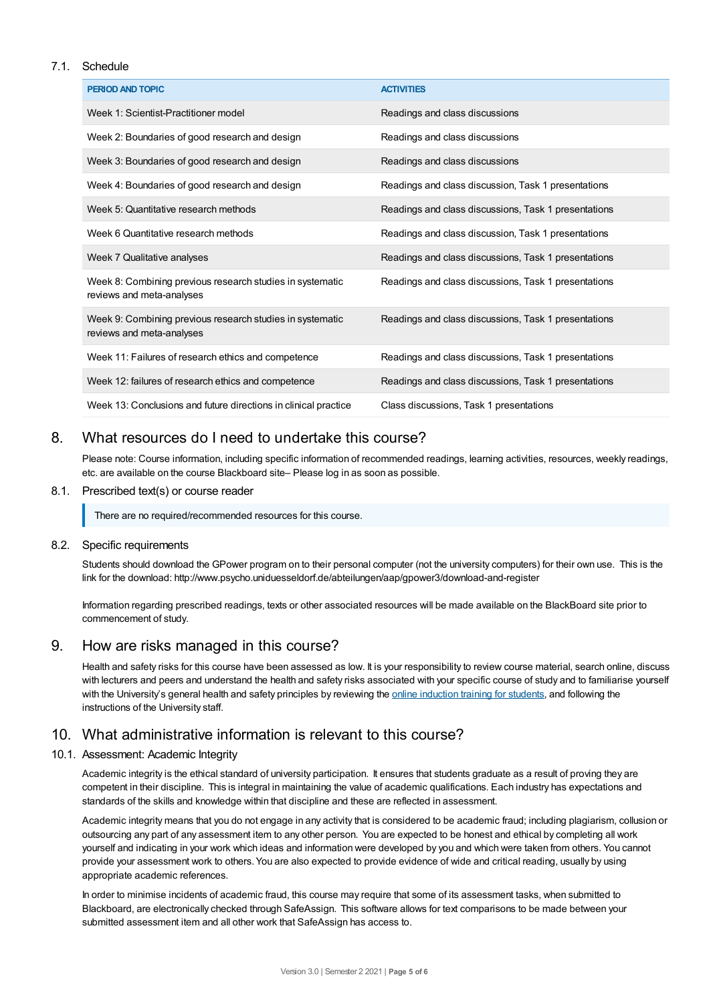### 7.1. Schedule

| <b>PERIOD AND TOPIC</b>                                                                | <b>ACTIVITIES</b>                                    |
|----------------------------------------------------------------------------------------|------------------------------------------------------|
| Week 1: Scientist-Practitioner model                                                   | Readings and class discussions                       |
| Week 2: Boundaries of good research and design                                         | Readings and class discussions                       |
| Week 3: Boundaries of good research and design                                         | Readings and class discussions                       |
| Week 4: Boundaries of good research and design                                         | Readings and class discussion, Task 1 presentations  |
| Week 5: Quantitative research methods                                                  | Readings and class discussions, Task 1 presentations |
| Week 6 Quantitative research methods                                                   | Readings and class discussion, Task 1 presentations  |
| Week 7 Qualitative analyses                                                            | Readings and class discussions, Task 1 presentations |
| Week 8: Combining previous research studies in systematic<br>reviews and meta-analyses | Readings and class discussions, Task 1 presentations |
| Week 9: Combining previous research studies in systematic<br>reviews and meta-analyses | Readings and class discussions, Task 1 presentations |
| Week 11: Failures of research ethics and competence                                    | Readings and class discussions, Task 1 presentations |
| Week 12: failures of research ethics and competence                                    | Readings and class discussions, Task 1 presentations |
| Week 13: Conclusions and future directions in clinical practice                        | Class discussions, Task 1 presentations              |

# 8. What resources do I need to undertake this course?

Please note: Course information, including specific information of recommended readings, learning activities, resources, weekly readings, etc. are available on the course Blackboard site– Please log in as soon as possible.

### 8.1. Prescribed text(s) or course reader

There are no required/recommended resources for this course.

### 8.2. Specific requirements

Students should download the GPower program on to their personal computer (not the university computers) for their own use. This is the link for the download: http://www.psycho.uniduesseldorf.de/abteilungen/aap/gpower3/download-and-register

Information regarding prescribed readings, texts or other associated resources will be made available on the BlackBoard site prior to commencement of study.

### 9. How are risks managed in this course?

Health and safety risks for this course have been assessed as low. It is your responsibility to review course material, search online, discuss with lecturers and peers and understand the health and safety risks associated with your specific course of study and to familiarise yourself with the University's general health and safety principles by reviewing the online [induction](https://online.usc.edu.au/webapps/blackboard/content/listContentEditable.jsp?content_id=_632657_1&course_id=_14432_1) training for students, and following the instructions of the University staff.

# 10. What administrative information is relevant to this course?

### 10.1. Assessment: Academic Integrity

Academic integrity is the ethical standard of university participation. It ensures that students graduate as a result of proving they are competent in their discipline. This is integral in maintaining the value of academic qualifications. Each industry has expectations and standards of the skills and knowledge within that discipline and these are reflected in assessment.

Academic integrity means that you do not engage in any activity that is considered to be academic fraud; including plagiarism, collusion or outsourcing any part of any assessment item to any other person. You are expected to be honest and ethical by completing all work yourself and indicating in your work which ideas and information were developed by you and which were taken from others. You cannot provide your assessment work to others.You are also expected to provide evidence of wide and critical reading, usually by using appropriate academic references.

In order to minimise incidents of academic fraud, this course may require that some of its assessment tasks, when submitted to Blackboard, are electronically checked through SafeAssign. This software allows for text comparisons to be made between your submitted assessment item and all other work that SafeAssign has access to.